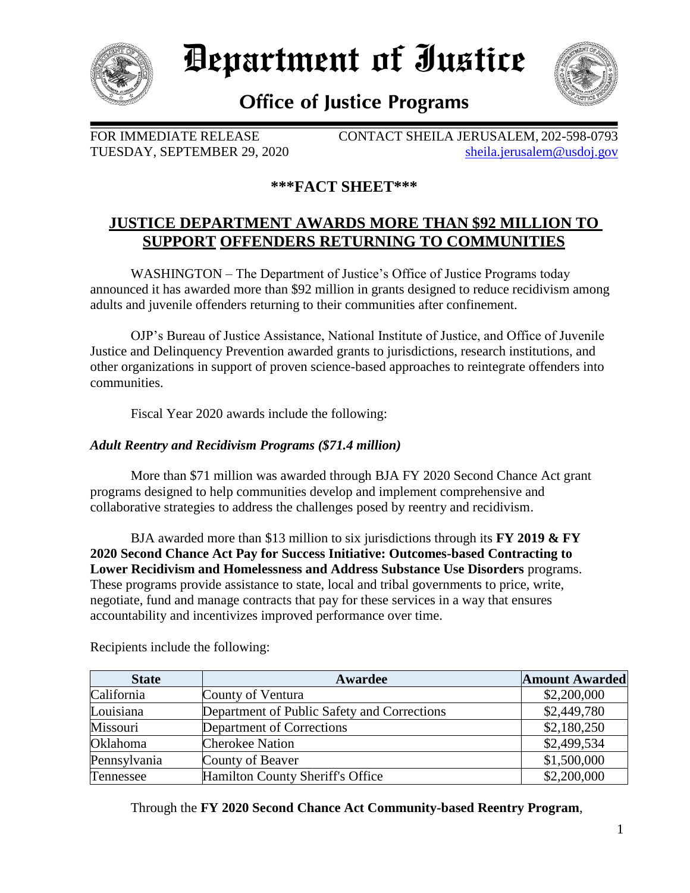

*Pepartment of Iustice* 



# **Office of Justice Programs**

FOR IMMEDIATE RELEASE CONTACT SHEILA JERUSALEM, 202-598-0793 TUESDAY, SEPTEMBER 29, 2020 [sheila.jerusalem@usdoj.gov](mailto:sheila.jerusalem@usdoj.gov)

## **\*\*\*FACT SHEET\*\*\***

## **JUSTICE DEPARTMENT AWARDS MORE THAN \$92 MILLION TO SUPPORT OFFENDERS RETURNING TO COMMUNITIES**

WASHINGTON – The Department of Justice's Office of Justice Programs today announced it has awarded more than \$92 million in grants designed to reduce recidivism among adults and juvenile offenders returning to their communities after confinement.

OJP's Bureau of Justice Assistance, National Institute of Justice, and Office of Juvenile Justice and Delinquency Prevention awarded grants to jurisdictions, research institutions, and other organizations in support of proven science-based approaches to reintegrate offenders into communities.

Fiscal Year 2020 awards include the following:

### *Adult Reentry and Recidivism Programs (\$71.4 million)*

More than \$71 million was awarded through BJA FY 2020 Second Chance Act grant programs designed to help communities develop and implement comprehensive and collaborative strategies to address the challenges posed by reentry and recidivism.

BJA awarded more than \$13 million to six jurisdictions through its **FY 2019 & FY 2020 Second Chance Act Pay for Success Initiative: Outcomes-based Contracting to Lower Recidivism and Homelessness and Address Substance Use Disorders** programs. These programs provide assistance to state, local and tribal governments to price, write, negotiate, fund and manage contracts that pay for these services in a way that ensures accountability and incentivizes improved performance over time.

| <b>State</b> | Awardee                                     | <b>Amount Awarded</b> |
|--------------|---------------------------------------------|-----------------------|
| California   | County of Ventura                           | \$2,200,000           |
| Louisiana    | Department of Public Safety and Corrections | \$2,449,780           |
| Missouri     | Department of Corrections                   | \$2,180,250           |
| Oklahoma     | <b>Cherokee Nation</b>                      | \$2,499,534           |
| Pennsylvania | County of Beaver                            | \$1,500,000           |
| Tennessee    | Hamilton County Sheriff's Office            | \$2,200,000           |

Recipients include the following:

Through the **FY 2020 Second Chance Act Community-based Reentry Program**,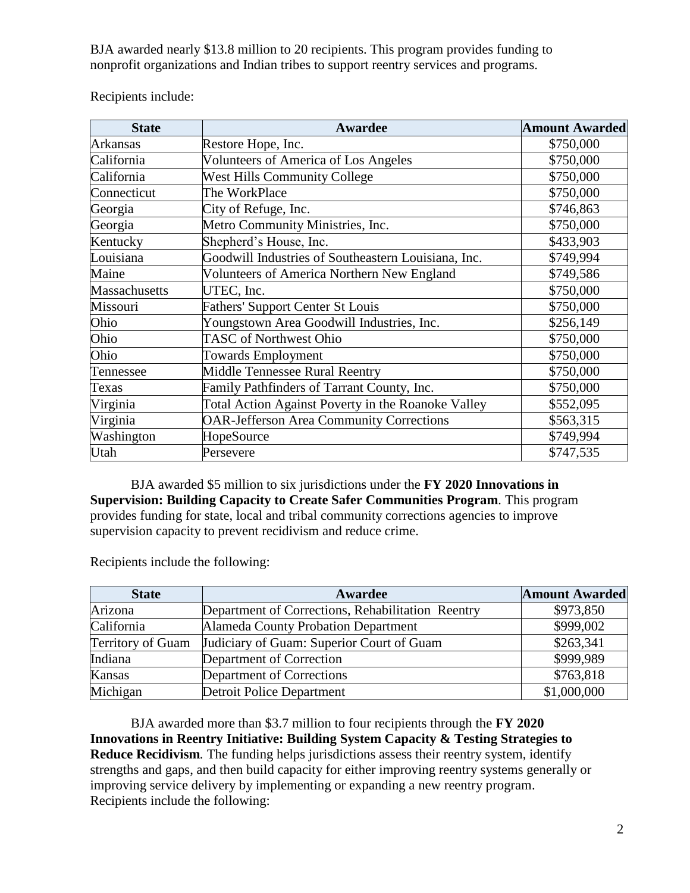BJA awarded nearly \$13.8 million to 20 recipients. This program provides funding to nonprofit organizations and Indian tribes to support reentry services and programs.

| <b>State</b>    | Awardee                                             | <b>Amount Awarded</b> |
|-----------------|-----------------------------------------------------|-----------------------|
| <b>Arkansas</b> | Restore Hope, Inc.                                  | \$750,000             |
| California      | <b>Volunteers of America of Los Angeles</b>         | \$750,000             |
| California      | <b>West Hills Community College</b>                 | \$750,000             |
| Connecticut     | The WorkPlace                                       | \$750,000             |
| Georgia         | City of Refuge, Inc.                                | \$746,863             |
| Georgia         | Metro Community Ministries, Inc.                    | \$750,000             |
| Kentucky        | Shepherd's House, Inc.                              | \$433,903             |
| Louisiana       | Goodwill Industries of Southeastern Louisiana, Inc. | \$749,994             |
| Maine           | Volunteers of America Northern New England          | \$749,586             |
| Massachusetts   | UTEC, Inc.                                          | \$750,000             |
| Missouri        | <b>Fathers' Support Center St Louis</b>             | \$750,000             |
| Ohio            | Youngstown Area Goodwill Industries, Inc.           | \$256,149             |
| Ohio            | TASC of Northwest Ohio                              | \$750,000             |
| Ohio            | <b>Towards Employment</b>                           | \$750,000             |
| Tennessee       | Middle Tennessee Rural Reentry                      | \$750,000             |
| Texas           | Family Pathfinders of Tarrant County, Inc.          | \$750,000             |
| Virginia        | Total Action Against Poverty in the Roanoke Valley  | \$552,095             |
| Virginia        | <b>OAR-Jefferson Area Community Corrections</b>     | \$563,315             |
| Washington      | HopeSource                                          | \$749,994             |
| Utah            | Persevere                                           | \$747,535             |

Recipients include:

BJA awarded \$5 million to six jurisdictions under the **FY 2020 Innovations in Supervision: Building Capacity to Create Safer Communities Program***.* This program provides funding for state, local and tribal community corrections agencies to improve supervision capacity to prevent recidivism and reduce crime.

Recipients include the following:

| <b>State</b>      | Awardee                                           | <b>Amount Awarded</b> |
|-------------------|---------------------------------------------------|-----------------------|
| Arizona           | Department of Corrections, Rehabilitation Reentry | \$973,850             |
| California        | Alameda County Probation Department               | \$999,002             |
| Territory of Guam | Judiciary of Guam: Superior Court of Guam         | \$263,341             |
| Indiana           | Department of Correction                          | \$999,989             |
| Kansas            | Department of Corrections                         | \$763,818             |
| Michigan          | Detroit Police Department                         | \$1,000,000           |

BJA awarded more than \$3.7 million to four recipients through the **FY 2020 Innovations in Reentry Initiative: Building System Capacity & Testing Strategies to Reduce Recidivism***.* The funding helps jurisdictions assess their reentry system, identify strengths and gaps, and then build capacity for either improving reentry systems generally or improving service delivery by implementing or expanding a new reentry program. Recipients include the following: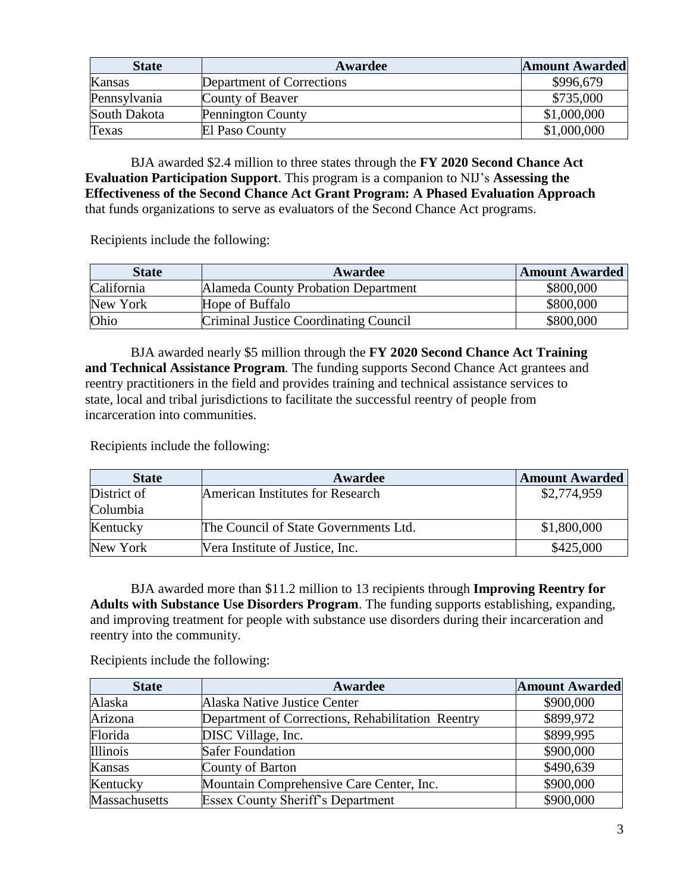| <b>State</b> | Awardee                   | <b>Amount Awarded</b> |
|--------------|---------------------------|-----------------------|
| Kansas       | Department of Corrections | \$996,679             |
| Pennsylvania | County of Beaver          | \$735,000             |
| South Dakota | <b>Pennington County</b>  | \$1,000,000           |
| Texas        | El Paso County            | \$1,000,000           |

BJA awarded \$2.4 million to three states through the **FY 2020 Second Chance Act Evaluation Participation Support**. This program is a companion to NIJ's **Assessing the Effectiveness of the Second Chance Act Grant Program: A Phased Evaluation Approach** that funds organizations to serve as evaluators of the Second Chance Act programs.

Recipients include the following:

| <b>State</b> | Awardee                               | <b>Amount Awarded</b> |
|--------------|---------------------------------------|-----------------------|
| California   | Alameda County Probation Department   | \$800,000             |
| New York     | Hope of Buffalo                       | \$800,000             |
| Ohio         | Criminal Justice Coordinating Council | \$800,000             |

BJA awarded nearly \$5 million through the **FY 2020 Second Chance Act Training and Technical Assistance Program***.* The funding supports Second Chance Act grantees and reentry practitioners in the field and provides training and technical assistance services to state, local and tribal jurisdictions to facilitate the successful reentry of people from incarceration into communities.

Recipients include the following:

| <b>State</b> | Awardee                               | <b>Amount Awarded</b> |
|--------------|---------------------------------------|-----------------------|
| District of  | American Institutes for Research      | \$2,774,959           |
| Columbia     |                                       |                       |
| Kentucky     | The Council of State Governments Ltd. | \$1,800,000           |
| New York     | Vera Institute of Justice, Inc.       | \$425,000             |

BJA awarded more than \$11.2 million to 13 recipients through **Improving Reentry for Adults with Substance Use Disorders Program**. The funding supports establishing, expanding, and improving treatment for people with substance use disorders during their incarceration and reentry into the community.

Recipients include the following:

| <b>State</b>         | Awardee                                           | <b>Amount Awarded</b> |
|----------------------|---------------------------------------------------|-----------------------|
| Alaska               | Alaska Native Justice Center                      | \$900,000             |
| Arizona              | Department of Corrections, Rehabilitation Reentry | \$899,972             |
| Florida              | DISC Village, Inc.                                | \$899,995             |
| Illinois             | <b>Safer Foundation</b>                           | \$900,000             |
| Kansas               | County of Barton                                  | \$490,639             |
| Kentucky             | Mountain Comprehensive Care Center, Inc.          | \$900,000             |
| <b>Massachusetts</b> | <b>Essex County Sheriff's Department</b>          | \$900,000             |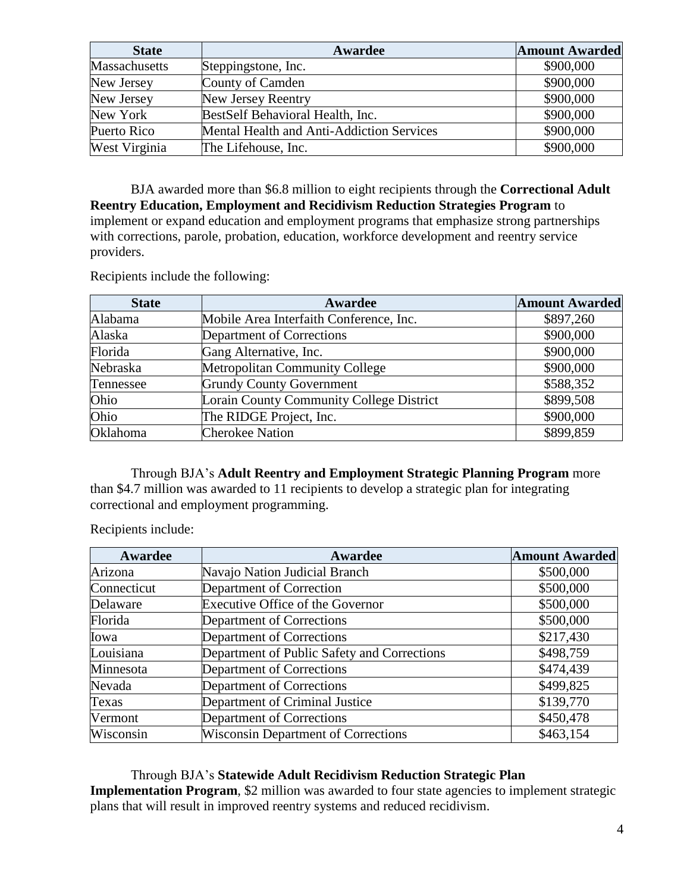| <b>State</b>  | Awardee                                   | <b>Amount Awarded</b> |
|---------------|-------------------------------------------|-----------------------|
| Massachusetts | Steppingstone, Inc.                       | \$900,000             |
| New Jersey    | County of Camden                          | \$900,000             |
| New Jersey    | New Jersey Reentry                        | \$900,000             |
| New York      | BestSelf Behavioral Health, Inc.          | \$900,000             |
| Puerto Rico   | Mental Health and Anti-Addiction Services | \$900,000             |
| West Virginia | The Lifehouse, Inc.                       | \$900,000             |

BJA awarded more than \$6.8 million to eight recipients through the **Correctional Adult Reentry Education, Employment and Recidivism Reduction Strategies Program** to implement or expand education and employment programs that emphasize strong partnerships with corrections, parole, probation, education, workforce development and reentry service providers.

Recipients include the following:

| <b>State</b> | Awardee                                  | <b>Amount Awarded</b> |
|--------------|------------------------------------------|-----------------------|
| Alabama      | Mobile Area Interfaith Conference, Inc.  | \$897,260             |
| Alaska       | Department of Corrections                | \$900,000             |
| Florida      | Gang Alternative, Inc.                   | \$900,000             |
| Nebraska     | <b>Metropolitan Community College</b>    | \$900,000             |
| Tennessee    | <b>Grundy County Government</b>          | \$588,352             |
| Ohio         | Lorain County Community College District | \$899,508             |
| Ohio         | The RIDGE Project, Inc.                  | \$900,000             |
| Oklahoma     | <b>Cherokee Nation</b>                   | \$899,859             |

Through BJA's **Adult Reentry and Employment Strategic Planning Program** more than \$4.7 million was awarded to 11 recipients to develop a strategic plan for integrating correctional and employment programming.

Recipients include:

| Awardee     | Awardee                                     | <b>Amount Awarded</b> |
|-------------|---------------------------------------------|-----------------------|
| Arizona     | Navajo Nation Judicial Branch               | \$500,000             |
| Connecticut | Department of Correction                    | \$500,000             |
| Delaware    | <b>Executive Office of the Governor</b>     | \$500,000             |
| Florida     | Department of Corrections                   | \$500,000             |
| Iowa        | Department of Corrections                   | \$217,430             |
| Louisiana   | Department of Public Safety and Corrections | \$498,759             |
| Minnesota   | Department of Corrections                   | \$474,439             |
| Nevada      | Department of Corrections                   | \$499,825             |
| Texas       | Department of Criminal Justice              | \$139,770             |
| Vermont     | Department of Corrections                   | \$450,478             |
| Wisconsin   | <b>Wisconsin Department of Corrections</b>  | \$463,154             |

Through BJA's **Statewide Adult Recidivism Reduction Strategic Plan Implementation Program**, \$2 million was awarded to four state agencies to implement strategic plans that will result in improved reentry systems and reduced recidivism.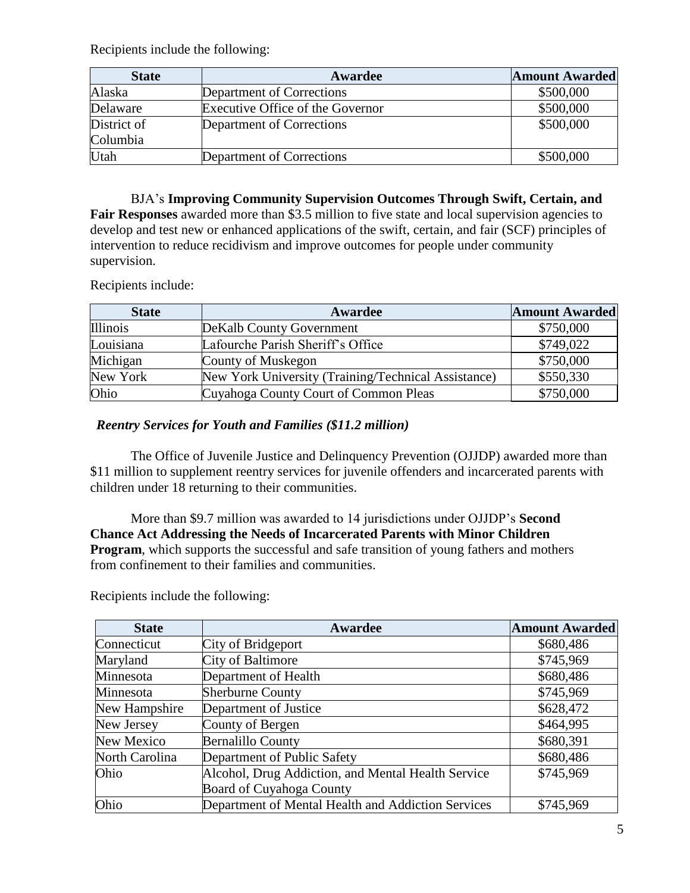Recipients include the following:

| <b>State</b> | Awardee                          | <b>Amount Awarded</b> |
|--------------|----------------------------------|-----------------------|
| Alaska       | Department of Corrections        | \$500,000             |
| Delaware     | Executive Office of the Governor | \$500,000             |
| District of  | Department of Corrections        | \$500,000             |
| Columbia     |                                  |                       |
| Utah         | Department of Corrections        | \$500,000             |

BJA's **Improving Community Supervision Outcomes Through Swift, Certain, and Fair Responses** awarded more than \$3.5 million to five state and local supervision agencies to develop and test new or enhanced applications of the swift, certain, and fair (SCF) principles of intervention to reduce recidivism and improve outcomes for people under community supervision.

Recipients include:

| <b>State</b> | Awardee                                             | <b>Amount Awarded</b> |
|--------------|-----------------------------------------------------|-----------------------|
| Illinois     | DeKalb County Government                            | \$750,000             |
| Louisiana    | Lafourche Parish Sheriff's Office                   | \$749,022             |
| Michigan     | County of Muskegon                                  | \$750,000             |
| New York     | New York University (Training/Technical Assistance) | \$550,330             |
| Ohio         | Cuyahoga County Court of Common Pleas               | \$750,000             |

*Reentry Services for Youth and Families (\$11.2 million)*

The Office of Juvenile Justice and Delinquency Prevention (OJJDP) awarded more than \$11 million to supplement reentry services for juvenile offenders and incarcerated parents with children under 18 returning to their communities.

More than \$9.7 million was awarded to 14 jurisdictions under OJJDP's **Second Chance Act Addressing the Needs of Incarcerated Parents with Minor Children Program**, which supports the successful and safe transition of young fathers and mothers from confinement to their families and communities.

**State Awardee Amount Awarded** Connecticut City of Bridgeport \$680,486 Maryland City of Baltimore 5745,969 Minnesota Department of Health  $$680,486$ Minnesota Sherburne County **1996** Sherburne County **1996** ST45,969 New Hampshire Department of Justice \$628,472 New Jersey County of Bergen  $\sim$  \$464,995 New Mexico Bernalillo County and the state of the state state of the state state state state state state state state state state state state state state state state state state state state state state state state state sta North Carolina Department of Public Safety 680,486 Ohio Alcohol, Drug Addiction, and Mental Health Service Board of Cuyahoga County \$745,969 Ohio Department of Mental Health and Addiction Services | \$745,969

Recipients include the following: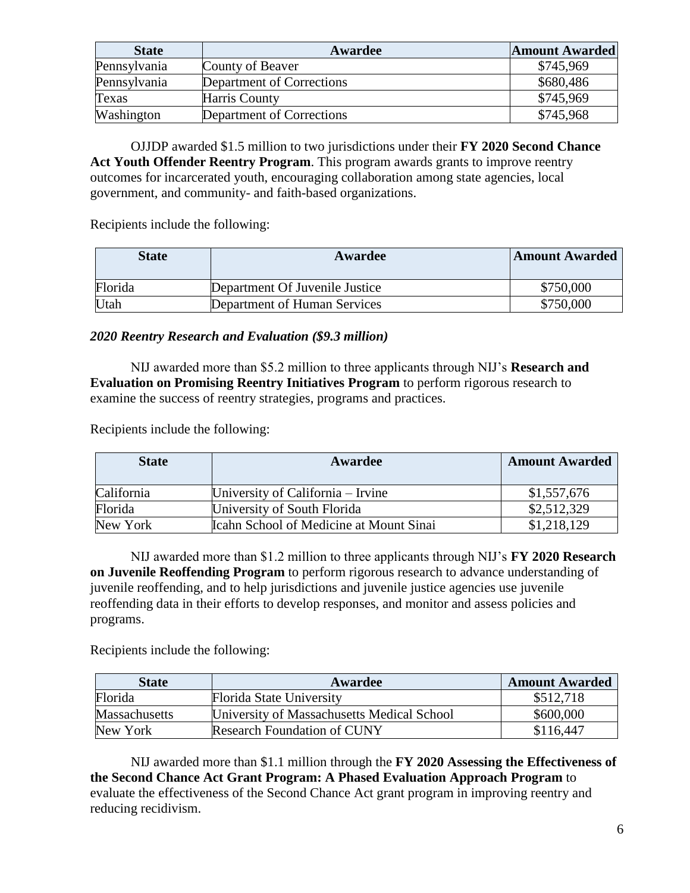| <b>State</b> | Awardee                   | <b>Amount Awarded</b> |
|--------------|---------------------------|-----------------------|
| Pennsylvania | County of Beaver          | \$745,969             |
| Pennsylvania | Department of Corrections | \$680,486             |
| Texas        | Harris County             | \$745,969             |
| Washington   | Department of Corrections | \$745,968             |

OJJDP awarded \$1.5 million to two jurisdictions under their **FY 2020 Second Chance Act Youth Offender Reentry Program**. This program awards grants to improve reentry outcomes for incarcerated youth, encouraging collaboration among state agencies, local government, and community- and faith-based organizations.

Recipients include the following:

| <b>State</b> | Awardee                        | <b>Amount Awarded</b> |
|--------------|--------------------------------|-----------------------|
| Florida      | Department Of Juvenile Justice | \$750,000             |
| Utah         | Department of Human Services   | \$750,000             |

### *2020 Reentry Research and Evaluation (\$9.3 million)*

NIJ awarded more than \$5.2 million to three applicants through NIJ's **Research and Evaluation on Promising Reentry Initiatives Program** to perform rigorous research to examine the success of reentry strategies, programs and practices.

Recipients include the following:

| <b>State</b> | Awardee                                 | <b>Amount Awarded</b> |
|--------------|-----------------------------------------|-----------------------|
| California   | University of California – Irvine       | \$1,557,676           |
| Florida      | University of South Florida             | \$2,512,329           |
| New York     | Icahn School of Medicine at Mount Sinai | \$1,218,129           |

NIJ awarded more than \$1.2 million to three applicants through NIJ's **FY 2020 Research on Juvenile Reoffending Program** to perform rigorous research to advance understanding of juvenile reoffending, and to help jurisdictions and juvenile justice agencies use juvenile reoffending data in their efforts to develop responses, and monitor and assess policies and programs.

Recipients include the following:

| State                | Awardee                                    | <b>Amount Awarded</b> |
|----------------------|--------------------------------------------|-----------------------|
| Florida              | Florida State University                   | \$512,718             |
| <b>Massachusetts</b> | University of Massachusetts Medical School | \$600,000             |
| New York             | <b>Research Foundation of CUNY</b>         | \$116,447             |

NIJ awarded more than \$1.1 million through the **FY 2020 Assessing the Effectiveness of the Second Chance Act Grant Program: A Phased Evaluation Approach Program** to evaluate the effectiveness of the Second Chance Act grant program in improving reentry and reducing recidivism.